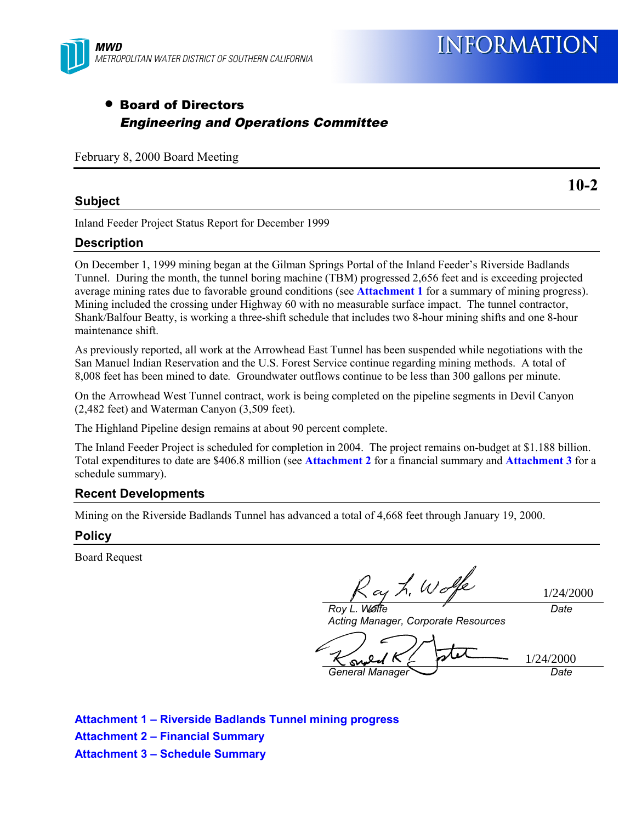

### • Board of Directors Engineering and Operations Committee

February 8, 2000 Board Meeting

#### **Subject**

Inland Feeder Project Status Report for December 1999

#### **Description**

On December 1, 1999 mining began at the Gilman Springs Portal of the Inland Feeder's Riverside Badlands Tunnel. During the month, the tunnel boring machine (TBM) progressed 2,656 feet and is exceeding projected average mining rates due to favorable ground conditions (see **Attachment 1** for a summary of mining progress). Mining included the crossing under Highway 60 with no measurable surface impact. The tunnel contractor, Shank/Balfour Beatty, is working a three-shift schedule that includes two 8-hour mining shifts and one 8-hour maintenance shift.

As previously reported, all work at the Arrowhead East Tunnel has been suspended while negotiations with the San Manuel Indian Reservation and the U.S. Forest Service continue regarding mining methods. A total of 8,008 feet has been mined to date*.* Groundwater outflows continue to be less than 300 gallons per minute.

On the Arrowhead West Tunnel contract, work is being completed on the pipeline segments in Devil Canyon (2,482 feet) and Waterman Canyon (3,509 feet).

The Highland Pipeline design remains at about 90 percent complete.

The Inland Feeder Project is scheduled for completion in 2004. The project remains on-budget at \$1.188 billion. Total expenditures to date are \$406.8 million (see **Attachment 2** for a financial summary and **Attachment 3** for a schedule summary).

#### **Recent Developments**

Mining on the Riverside Badlands Tunnel has advanced a total of 4,668 feet through January 19, 2000.

#### **Policy**

Board Request

ay L. Wolfe *Roy L. Wolfe*

1/24/2000

*Date*

*Acting Manager, Corporate Resources*

1/24/2000 $\infty$ *General Manager Date*

**Attachment 1 – Riverside Badlands Tunnel mining progress Attachment 2 – Financial Summary Attachment 3 – Schedule Summary**

**10-2**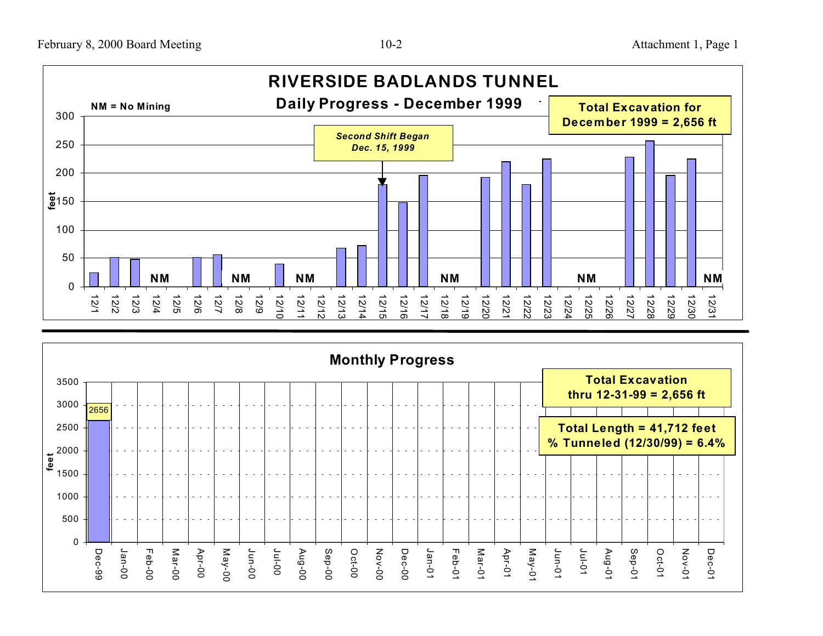

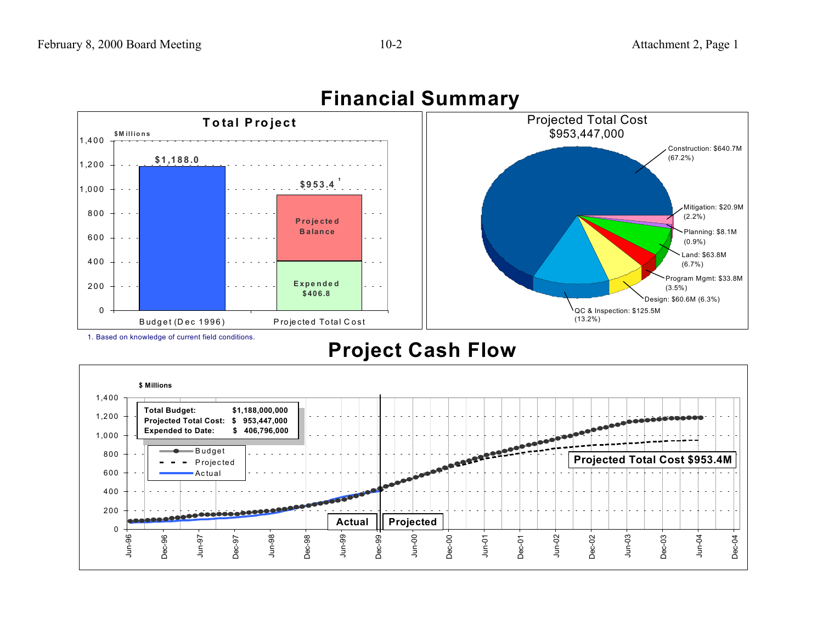

## **Financial Summary**